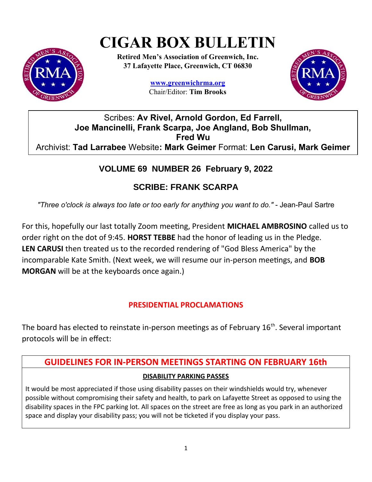# **CIGAR BOX BULLETIN**



**Retired Men's Association of Greenwich, Inc. 37 Lafayette Place, Greenwich, CT 06830**

> **www.greenwichrma.org** Chair/Editor: **Tim Brooks**



Scribes: **Av Rivel, Arnold Gordon, Ed Farrell, Joe Mancinelli, Frank Scarpa, Joe Angland, Bob Shullman, Fred Wu** Archivist: **Tad Larrabee** Website**: Mark Geimer** Format: **Len Carusi, Mark Geimer**

# **VOLUME 69 NUMBER 26 February 9, 2022**

# **SCRIBE: FRANK SCARPA**

*"Three o'clock is always too late or too early for anything you want to do."* - Jean-Paul Sartre

For this, hopefully our last totally Zoom meeting, President **MICHAEL AMBROSINO** called us to order right on the dot of 9:45. **HORST TEBBE** had the honor of leading us in the Pledge. **LEN CARUSI** then treated us to the recorded rendering of "God Bless America" by the incomparable Kate Smith. (Next week, we will resume our in-person meetings, and **BOB MORGAN** will be at the keyboards once again.)

## **PRESIDENTIAL PROCLAMATIONS**

The board has elected to reinstate in-person meetings as of February  $16<sup>th</sup>$ . Several important protocols will be in effect:

# **GUIDELINES FOR IN-PERSON MEETINGS STARTING ON FEBRUARY 16th DISABILITY PARKING PASSES**

It would be most appreciated if those using disability passes on their windshields would try, whenever possible without compromising their safety and health, to park on Lafayette Street as opposed to using the disability spaces in the FPC parking lot. All spaces on the street are free as long as you park in an authorized space and display your disability pass; you will not be ticketed if you display your pass.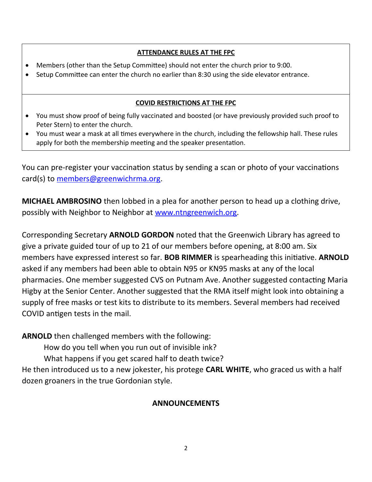#### **ATTENDANCE RULES AT THE FPC**

- Members (other than the Setup Committee) should not enter the church prior to 9:00.
- Setup Committee can enter the church no earlier than 8:30 using the side elevator entrance.

#### **COVID RESTRICTIONS AT THE FPC**

- You must show proof of being fully vaccinated and boosted (or have previously provided such proof to Peter Stern) to enter the church.
- You must wear a mask at all times everywhere in the church, including the fellowship hall. These rules apply for both the membership meeting and the speaker presentation.

You can pre-register your vaccination status by sending a scan or photo of your vaccinations card(s) to [members@greenwichrma.org](mailto:members@greenwichrma.org).

**MICHAEL AMBROSINO** then lobbed in a plea for another person to head up a clothing drive, possibly with Neighbor to Neighbor at [www.ntngreenwich.org.](http://www.ntngreenwich.org/)

Corresponding Secretary **ARNOLD GORDON** noted that the Greenwich Library has agreed to give a private guided tour of up to 21 of our members before opening, at 8:00 am. Six members have expressed interest so far. **BOB RIMMER** is spearheading this initiative. **ARNOLD** asked if any members had been able to obtain N95 or KN95 masks at any of the local pharmacies. One member suggested CVS on Putnam Ave. Another suggested contacting Maria Higby at the Senior Center. Another suggested that the RMA itself might look into obtaining a supply of free masks or test kits to distribute to its members. Several members had received COVID antigen tests in the mail.

**ARNOLD** then challenged members with the following:

How do you tell when you run out of invisible ink?

What happens if you get scared half to death twice?

He then introduced us to a new jokester, his protege **CARL WHITE**, who graced us with a half dozen groaners in the true Gordonian style.

#### **ANNOUNCEMENTS**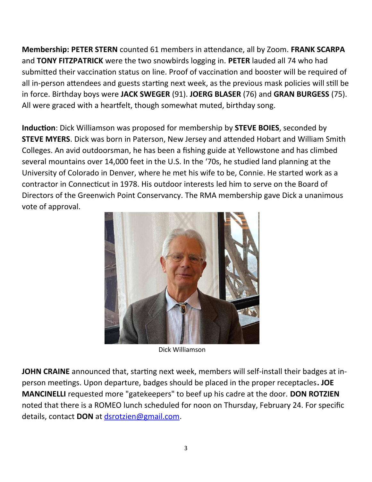**Membership: PETER STERN** counted 61 members in attendance, all by Zoom. **FRANK SCARPA** and **TONY FITZPATRICK** were the two snowbirds logging in. **PETER** lauded all 74 who had submitted their vaccination status on line. Proof of vaccination and booster will be required of all in-person attendees and guests starting next week, as the previous mask policies will still be in force. Birthday boys were **JACK SWEGER** (91). **JOERG BLASER** (76) and **GRAN BURGESS** (75). All were graced with a heartfelt, though somewhat muted, birthday song.

**Induction**: Dick Williamson was proposed for membership by **STEVE BOIES**, seconded by **STEVE MYERS**. Dick was born in Paterson, New Jersey and attended Hobart and William Smith Colleges. An avid outdoorsman, he has been a fishing guide at Yellowstone and has climbed several mountains over 14,000 feet in the U.S. In the '70s, he studied land planning at the University of Colorado in Denver, where he met his wife to be, Connie. He started work as a contractor in Connecticut in 1978. His outdoor interests led him to serve on the Board of Directors of the Greenwich Point Conservancy. The RMA membership gave Dick a unanimous vote of approval.



Dick Williamson

**JOHN CRAINE** announced that, starting next week, members will self-install their badges at inperson meetings. Upon departure, badges should be placed in the proper receptacles**. JOE MANCINELLI** requested more "gatekeepers" to beef up his cadre at the door. **DON ROTZIEN** noted that there is a ROMEO lunch scheduled for noon on Thursday, February 24. For specific details, contact **DON** at [dsrotzien@gmail.com.](mailto:dsrotzien@gmail.com)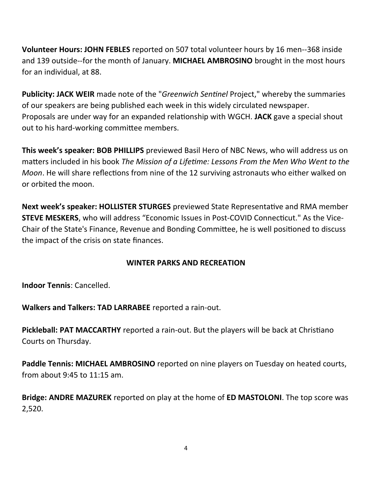**Volunteer Hours: JOHN FEBLES** reported on 507 total volunteer hours by 16 men--368 inside and 139 outside--for the month of January. **MICHAEL AMBROSINO** brought in the most hours for an individual, at 88.

**Publicity: JACK WEIR** made note of the "*Greenwich Sentinel* Project," whereby the summaries of our speakers are being published each week in this widely circulated newspaper. Proposals are under way for an expanded relationship with WGCH. **JACK** gave a special shout out to his hard-working committee members.

**This week's speaker: BOB PHILLIPS** previewed Basil Hero of NBC News, who will address us on matters included in his book *The Mission of a Lifetime: Lessons From the Men Who Went to the Moon*. He will share reflections from nine of the 12 surviving astronauts who either walked on or orbited the moon.

**Next week's speaker: HOLLISTER STURGES** previewed State Representative and RMA member **STEVE MESKERS**, who will address "Economic Issues in Post-COVID Connecticut." As the Vice-Chair of the State's Finance, Revenue and Bonding Committee, he is well positioned to discuss the impact of the crisis on state finances.

#### **WINTER PARKS AND RECREATION**

**Indoor Tennis**: Cancelled.

**Walkers and Talkers: TAD LARRABEE** reported a rain-out.

**Pickleball: PAT MACCARTHY** reported a rain-out. But the players will be back at Christiano Courts on Thursday.

**Paddle Tennis: MICHAEL AMBROSINO** reported on nine players on Tuesday on heated courts, from about 9:45 to 11:15 am.

**Bridge: ANDRE MAZUREK** reported on play at the home of **ED MASTOLONI**. The top score was 2,520.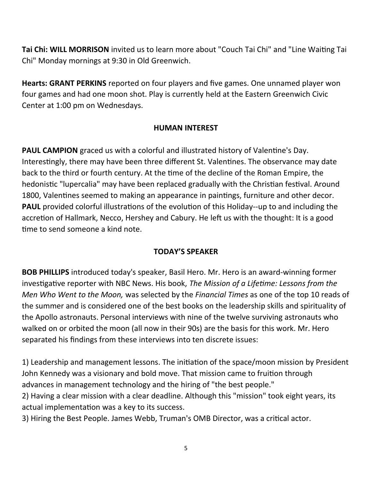**Tai Chi: WILL MORRISON** invited us to learn more about "Couch Tai Chi" and "Line Waiting Tai Chi" Monday mornings at 9:30 in Old Greenwich.

**Hearts: GRANT PERKINS** reported on four players and five games. One unnamed player won four games and had one moon shot. Play is currently held at the Eastern Greenwich Civic Center at 1:00 pm on Wednesdays.

#### **HUMAN INTEREST**

**PAUL CAMPION** graced us with a colorful and illustrated history of Valentine's Day. Interestingly, there may have been three different St. Valentines. The observance may date back to the third or fourth century. At the time of the decline of the Roman Empire, the hedonistic "lupercalia" may have been replaced gradually with the Christian festival. Around 1800, Valentines seemed to making an appearance in paintings, furniture and other decor. **PAUL** provided colorful illustrations of the evolution of this Holiday--up to and including the accretion of Hallmark, Necco, Hershey and Cabury. He left us with the thought: It is a good time to send someone a kind note.

#### **TODAY'S SPEAKER**

**BOB PHILLIPS** introduced today's speaker, Basil Hero. Mr. Hero is an award-winning former investigative reporter with NBC News. His book, *The Mission of a Lifetime: Lessons from the Men Who Went to the Moon,* was selected by the *Financial Times* as one of the top 10 reads of the summer and is considered one of the best books on the leadership skills and spirituality of the Apollo astronauts. Personal interviews with nine of the twelve surviving astronauts who walked on or orbited the moon (all now in their 90s) are the basis for this work. Mr. Hero separated his findings from these interviews into ten discrete issues:

1) Leadership and management lessons. The initiation of the space/moon mission by President John Kennedy was a visionary and bold move. That mission came to fruition through advances in management technology and the hiring of "the best people."

2) Having a clear mission with a clear deadline. Although this "mission" took eight years, its actual implementation was a key to its success.

3) Hiring the Best People. James Webb, Truman's OMB Director, was a critical actor.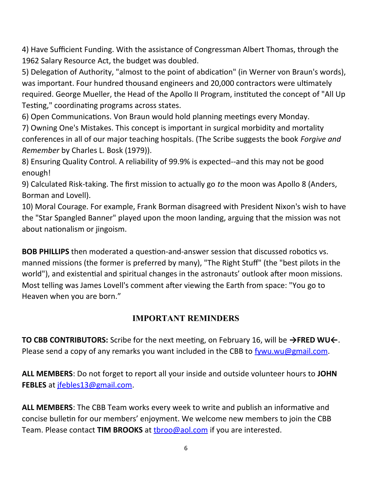4) Have Sufficient Funding. With the assistance of Congressman Albert Thomas, through the 1962 Salary Resource Act, the budget was doubled.

5) Delegation of Authority, "almost to the point of abdication" (in Werner von Braun's words), was important. Four hundred thousand engineers and 20,000 contractors were ultimately required. George Mueller, the Head of the Apollo II Program, instituted the concept of "All Up Testing," coordinating programs across states.

6) Open Communications. Von Braun would hold planning meetings every Monday.

7) Owning One's Mistakes. This concept is important in surgical morbidity and mortality conferences in all of our major teaching hospitals. (The Scribe suggests the book *Forgive and Remember* by Charles L. Bosk (1979)).

8) Ensuring Quality Control. A reliability of 99.9% is expected--and this may not be good enough!

9) Calculated Risk-taking. The first mission to actually go *to* the moon was Apollo 8 (Anders, Borman and Lovell).

10) Moral Courage. For example, Frank Borman disagreed with President Nixon's wish to have the "Star Spangled Banner" played upon the moon landing, arguing that the mission was not about nationalism or jingoism.

**BOB PHILLIPS** then moderated a question-and-answer session that discussed robotics vs. manned missions (the former is preferred by many), "The Right Stuff" (the "best pilots in the world"), and existential and spiritual changes in the astronauts' outlook after moon missions. Most telling was James Lovell's comment after viewing the Earth from space: "You go to Heaven when you are born."

## **IMPORTANT REMINDERS**

**TO CBB CONTRIBUTORS:** Scribe for the next meeting, on February 16, will be **→FRED WU←**. Please send a copy of any remarks you want included in the CBB to [fywu.wu@gmail.com.](mailto:fywu.wu@gmail.com)

**ALL MEMBERS**: Do not forget to report all your inside and outside volunteer hours to **JOHN FEBLES** at [jfebles13@gmail.com.](mailto:jfebles13@gmail.com)

**ALL MEMBERS**: The CBB Team works every week to write and publish an informative and concise bulletin for our members' enjoyment. We welcome new members to join the CBB Team. Please contact **TIM BROOKS** at [tbroo@aol.com](mailto:tbroo@aol.com) if you are interested.